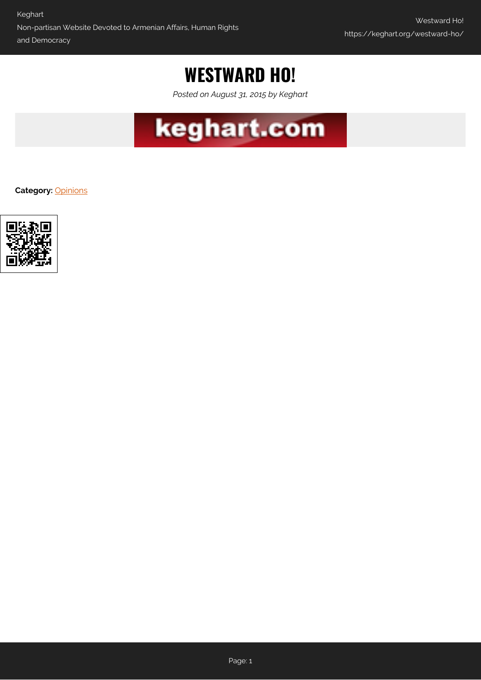# **WESTWARD HO!**

*Posted on August 31, 2015 by Keghart*



**Category:** [Opinions](https://keghart.org/category/opinions/)

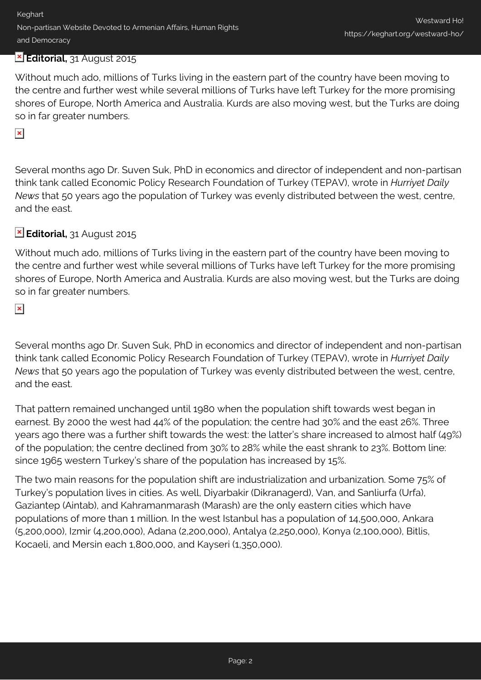# **Editorial,** 31 August 2015

Without much ado, millions of Turks living in the eastern part of the country have been moving to the centre and further west while several millions of Turks have left Turkey for the more promising shores of Europe, North America and Australia. Kurds are also moving west, but the Turks are doing so in far greater numbers.

### $\pmb{\times}$

Several months ago Dr. Suven Suk, PhD in economics and director of independent and non-partisan think tank called Economic Policy Research Foundation of Turkey (TEPAV), wrote in *Hurriyet Daily News* that 50 years ago the population of Turkey was evenly distributed between the west, centre, and the east.

# **Editorial,** 31 August 2015

Without much ado, millions of Turks living in the eastern part of the country have been moving to the centre and further west while several millions of Turks have left Turkey for the more promising shores of Europe, North America and Australia. Kurds are also moving west, but the Turks are doing so in far greater numbers.

#### $\pmb{\times}$

Several months ago Dr. Suven Suk, PhD in economics and director of independent and non-partisan think tank called Economic Policy Research Foundation of Turkey (TEPAV), wrote in *Hurriyet Daily News* that 50 years ago the population of Turkey was evenly distributed between the west, centre, and the east.

That pattern remained unchanged until 1980 when the population shift towards west began in earnest. By 2000 the west had 44% of the population; the centre had 30% and the east 26%. Three years ago there was a further shift towards the west: the latter's share increased to almost half (49%) of the population; the centre declined from 30% to 28% while the east shrank to 23%. Bottom line: since 1965 western Turkey's share of the population has increased by 15%.

The two main reasons for the population shift are industrialization and urbanization. Some 75% of Turkey's population lives in cities. As well, Diyarbakir (Dikranagerd), Van, and Sanliurfa (Urfa), Gaziantep (Aintab), and Kahramanmarash (Marash) are the only eastern cities which have populations of more than 1 million. In the west Istanbul has a population of 14,500,000, Ankara (5,200,000), Izmir (4,200,000), Adana (2,200,000), Antalya (2,250,000), Konya (2,100,000), Bitlis, Kocaeli, and Mersin each 1,800,000, and Kayseri (1,350,000).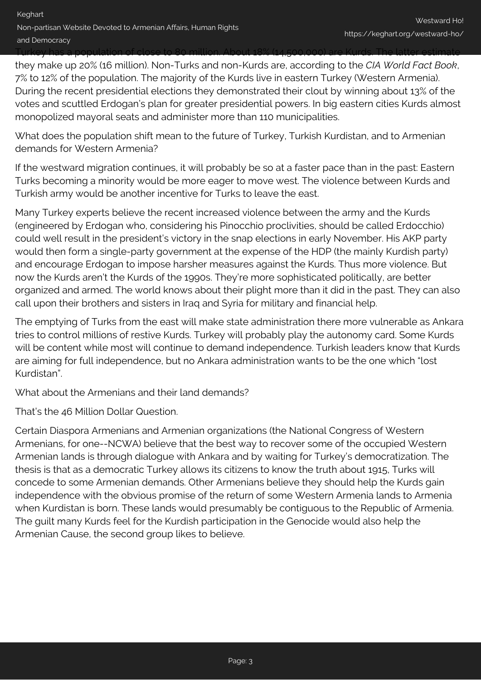## Turkey has a population of close to 80 million. About 18% (14,500,000) are Kurds. The latter estimate they make up 20% (16 million). Non-Turks and non-Kurds are, according to the *CIA World Fact Book*, 7% to 12% of the population. The majority of the Kurds live in eastern Turkey (Western Armenia). During the recent presidential elections they demonstrated their clout by winning about 13% of the votes and scuttled Erdogan's plan for greater presidential powers. In big eastern cities Kurds almost monopolized mayoral seats and administer more than 110 municipalities.

What does the population shift mean to the future of Turkey, Turkish Kurdistan, and to Armenian demands for Western Armenia?

If the westward migration continues, it will probably be so at a faster pace than in the past: Eastern Turks becoming a minority would be more eager to move west. The violence between Kurds and Turkish army would be another incentive for Turks to leave the east.

Many Turkey experts believe the recent increased violence between the army and the Kurds (engineered by Erdogan who, considering his Pinocchio proclivities, should be called Erdocchio) could well result in the president's victory in the snap elections in early November. His AKP party would then form a single-party government at the expense of the HDP (the mainly Kurdish party) and encourage Erdogan to impose harsher measures against the Kurds. Thus more violence. But now the Kurds aren't the Kurds of the 1990s. They're more sophisticated politically, are better organized and armed. The world knows about their plight more than it did in the past. They can also call upon their brothers and sisters in Iraq and Syria for military and financial help.

The emptying of Turks from the east will make state administration there more vulnerable as Ankara tries to control millions of restive Kurds. Turkey will probably play the autonomy card. Some Kurds will be content while most will continue to demand independence. Turkish leaders know that Kurds are aiming for full independence, but no Ankara administration wants to be the one which "lost Kurdistan".

What about the Armenians and their land demands?

That's the 46 Million Dollar Question.

Certain Diaspora Armenians and Armenian organizations (the National Congress of Western Armenians, for one--NCWA) believe that the best way to recover some of the occupied Western Armenian lands is through dialogue with Ankara and by waiting for Turkey's democratization. The thesis is that as a democratic Turkey allows its citizens to know the truth about 1915, Turks will concede to some Armenian demands. Other Armenians believe they should help the Kurds gain independence with the obvious promise of the return of some Western Armenia lands to Armenia when Kurdistan is born. These lands would presumably be contiguous to the Republic of Armenia. The guilt many Kurds feel for the Kurdish participation in the Genocide would also help the Armenian Cause, the second group likes to believe.